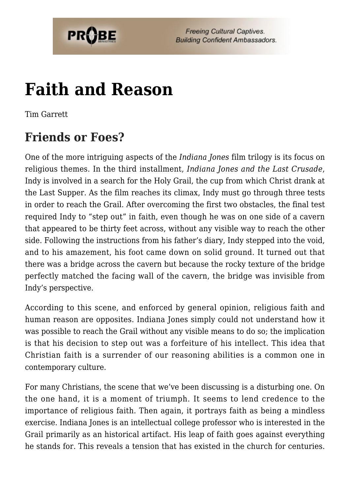

# **[Faith and Reason](https://probe.org/faith-and-reason/)**

Tim Garrett

## **Friends or Foes?**

One of the more intriguing aspects of the *Indiana Jones* film trilogy is its focus on religious themes. In the third installment, *Indiana Jones and the Last Crusade*, Indy is involved in a search for the Holy Grail, the cup from which Christ drank at the Last Supper. As the film reaches its climax, Indy must go through three tests in order to reach the Grail. After overcoming the first two obstacles, the final test required Indy to "step out" in faith, even though he was on one side of a cavern that appeared to be thirty feet across, without any visible way to reach the other side. Following the instructions from his father's diary, Indy stepped into the void, and to his amazement, his foot came down on solid ground. It turned out that there was a bridge across the cavern but because the rocky texture of the bridge perfectly matched the facing wall of the cavern, the bridge was invisible from Indy's perspective.

According to this scene, and enforced by general opinion, religious faith and human reason are opposites. Indiana Jones simply could not understand how it was possible to reach the Grail without any visible means to do so; the implication is that his decision to step out was a forfeiture of his intellect. This idea that Christian faith is a surrender of our reasoning abilities is a common one in contemporary culture.

For many Christians, the scene that we've been discussing is a disturbing one. On the one hand, it is a moment of triumph. It seems to lend credence to the importance of religious faith. Then again, it portrays faith as being a mindless exercise. Indiana Jones is an intellectual college professor who is interested in the Grail primarily as an historical artifact. His leap of faith goes against everything he stands for. This reveals a tension that has existed in the church for centuries.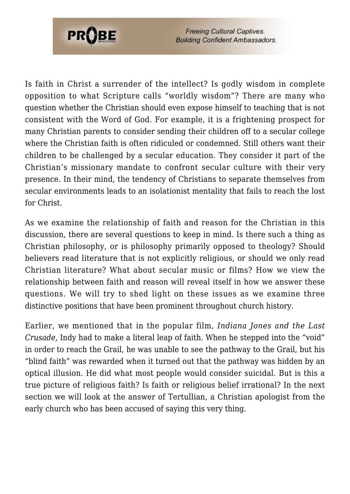

Is faith in Christ a surrender of the intellect? Is godly wisdom in complete opposition to what Scripture calls "worldly wisdom"? There are many who question whether the Christian should even expose himself to teaching that is not consistent with the Word of God. For example, it is a frightening prospect for many Christian parents to consider sending their children off to a secular college where the Christian faith is often ridiculed or condemned. Still others want their children to be challenged by a secular education. They consider it part of the Christian's missionary mandate to confront secular culture with their very presence. In their mind, the tendency of Christians to separate themselves from secular environments leads to an isolationist mentality that fails to reach the lost for Christ.

As we examine the relationship of faith and reason for the Christian in this discussion, there are several questions to keep in mind. Is there such a thing as Christian philosophy, or is philosophy primarily opposed to theology? Should believers read literature that is not explicitly religious, or should we only read Christian literature? What about secular music or films? How we view the relationship between faith and reason will reveal itself in how we answer these questions. We will try to shed light on these issues as we examine three distinctive positions that have been prominent throughout church history.

Earlier, we mentioned that in the popular film, *Indiana Jones and the Last Crusade*, Indy had to make a literal leap of faith. When he stepped into the "void" in order to reach the Grail, he was unable to see the pathway to the Grail, but his "blind faith" was rewarded when it turned out that the pathway was hidden by an optical illusion. He did what most people would consider suicidal. But is this a true picture of religious faith? Is faith or religious belief irrational? In the next section we will look at the answer of Tertullian, a Christian apologist from the early church who has been accused of saying this very thing.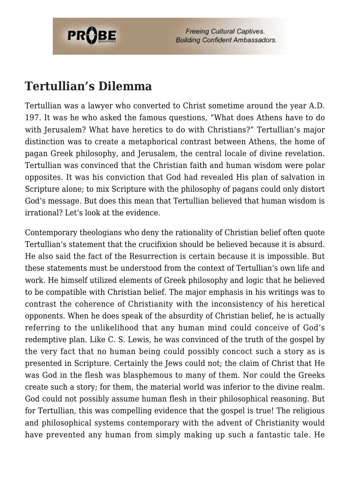

### **Tertullian's Dilemma**

Tertullian was a lawyer who converted to Christ sometime around the year A.D. 197. It was he who asked the famous questions, "What does Athens have to do with Jerusalem? What have heretics to do with Christians?" Tertullian's major distinction was to create a metaphorical contrast between Athens, the home of pagan Greek philosophy, and Jerusalem, the central locale of divine revelation. Tertullian was convinced that the Christian faith and human wisdom were polar opposites. It was his conviction that God had revealed His plan of salvation in Scripture alone; to mix Scripture with the philosophy of pagans could only distort God's message. But does this mean that Tertullian believed that human wisdom is irrational? Let's look at the evidence.

Contemporary theologians who deny the rationality of Christian belief often quote Tertullian's statement that the crucifixion should be believed because it is absurd. He also said the fact of the Resurrection is certain because it is impossible. But these statements must be understood from the context of Tertullian's own life and work. He himself utilized elements of Greek philosophy and logic that he believed to be compatible with Christian belief. The major emphasis in his writings was to contrast the coherence of Christianity with the inconsistency of his heretical opponents. When he does speak of the absurdity of Christian belief, he is actually referring to the unlikelihood that any human mind could conceive of God's redemptive plan. Like C. S. Lewis, he was convinced of the truth of the gospel by the very fact that no human being could possibly concoct such a story as is presented in Scripture. Certainly the Jews could not; the claim of Christ that He was God in the flesh was blasphemous to many of them. Nor could the Greeks create such a story; for them, the material world was inferior to the divine realm. God could not possibly assume human flesh in their philosophical reasoning. But for Tertullian, this was compelling evidence that the gospel is true! The religious and philosophical systems contemporary with the advent of Christianity would have prevented any human from simply making up such a fantastic tale. He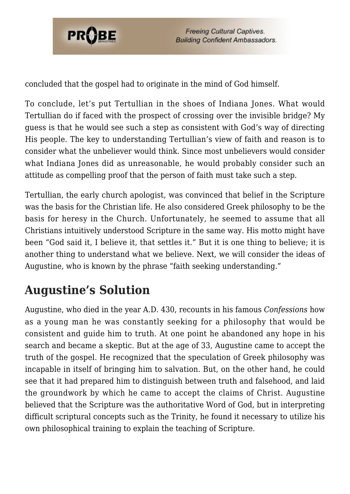

concluded that the gospel had to originate in the mind of God himself.

To conclude, let's put Tertullian in the shoes of Indiana Jones. What would Tertullian do if faced with the prospect of crossing over the invisible bridge? My guess is that he would see such a step as consistent with God's way of directing His people. The key to understanding Tertullian's view of faith and reason is to consider what the unbeliever would think. Since most unbelievers would consider what Indiana Jones did as unreasonable, he would probably consider such an attitude as compelling proof that the person of faith must take such a step.

Tertullian, the early church apologist, was convinced that belief in the Scripture was the basis for the Christian life. He also considered Greek philosophy to be the basis for heresy in the Church. Unfortunately, he seemed to assume that all Christians intuitively understood Scripture in the same way. His motto might have been "God said it, I believe it, that settles it." But it is one thing to believe; it is another thing to understand what we believe. Next, we will consider the ideas of Augustine, who is known by the phrase "faith seeking understanding."

# **Augustine's Solution**

Augustine, who died in the year A.D. 430, recounts in his famous *Confessions* how as a young man he was constantly seeking for a philosophy that would be consistent and guide him to truth. At one point he abandoned any hope in his search and became a skeptic. But at the age of 33, Augustine came to accept the truth of the gospel. He recognized that the speculation of Greek philosophy was incapable in itself of bringing him to salvation. But, on the other hand, he could see that it had prepared him to distinguish between truth and falsehood, and laid the groundwork by which he came to accept the claims of Christ. Augustine believed that the Scripture was the authoritative Word of God, but in interpreting difficult scriptural concepts such as the Trinity, he found it necessary to utilize his own philosophical training to explain the teaching of Scripture.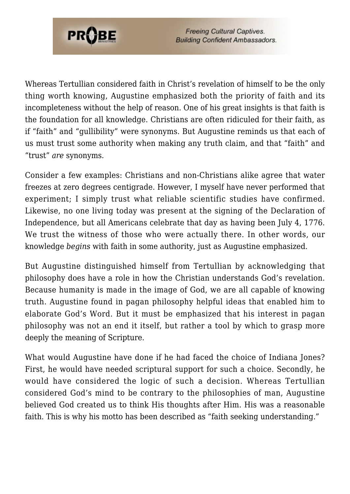

Whereas Tertullian considered faith in Christ's revelation of himself to be the only thing worth knowing, Augustine emphasized both the priority of faith and its incompleteness without the help of reason. One of his great insights is that faith is the foundation for all knowledge. Christians are often ridiculed for their faith, as if "faith" and "gullibility" were synonyms. But Augustine reminds us that each of us must trust some authority when making any truth claim, and that "faith" and "trust" *are* synonyms.

Consider a few examples: Christians and non-Christians alike agree that water freezes at zero degrees centigrade. However, I myself have never performed that experiment; I simply trust what reliable scientific studies have confirmed. Likewise, no one living today was present at the signing of the Declaration of Independence, but all Americans celebrate that day as having been July 4, 1776. We trust the witness of those who were actually there. In other words, our knowledge *begins* with faith in some authority, just as Augustine emphasized.

But Augustine distinguished himself from Tertullian by acknowledging that philosophy does have a role in how the Christian understands God's revelation. Because humanity is made in the image of God, we are all capable of knowing truth. Augustine found in pagan philosophy helpful ideas that enabled him to elaborate God's Word. But it must be emphasized that his interest in pagan philosophy was not an end it itself, but rather a tool by which to grasp more deeply the meaning of Scripture.

What would Augustine have done if he had faced the choice of Indiana Jones? First, he would have needed scriptural support for such a choice. Secondly, he would have considered the logic of such a decision. Whereas Tertullian considered God's mind to be contrary to the philosophies of man, Augustine believed God created us to think His thoughts after Him. His was a reasonable faith. This is why his motto has been described as "faith seeking understanding."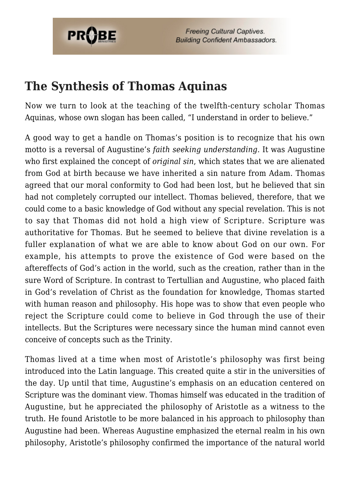

### **The Synthesis of Thomas Aquinas**

Now we turn to look at the teaching of the twelfth-century scholar Thomas Aquinas, whose own slogan has been called, "I understand in order to believe."

A good way to get a handle on Thomas's position is to recognize that his own motto is a reversal of Augustine's *faith seeking understanding*. It was Augustine who first explained the concept of *original sin*, which states that we are alienated from God at birth because we have inherited a sin nature from Adam. Thomas agreed that our moral conformity to God had been lost, but he believed that sin had not completely corrupted our intellect. Thomas believed, therefore, that we could come to a basic knowledge of God without any special revelation. This is not to say that Thomas did not hold a high view of Scripture. Scripture was authoritative for Thomas. But he seemed to believe that divine revelation is a fuller explanation of what we are able to know about God on our own. For example, his attempts to prove the existence of God were based on the aftereffects of God's action in the world, such as the creation, rather than in the sure Word of Scripture. In contrast to Tertullian and Augustine, who placed faith in God's revelation of Christ as the foundation for knowledge, Thomas started with human reason and philosophy. His hope was to show that even people who reject the Scripture could come to believe in God through the use of their intellects. But the Scriptures were necessary since the human mind cannot even conceive of concepts such as the Trinity.

Thomas lived at a time when most of Aristotle's philosophy was first being introduced into the Latin language. This created quite a stir in the universities of the day. Up until that time, Augustine's emphasis on an education centered on Scripture was the dominant view. Thomas himself was educated in the tradition of Augustine, but he appreciated the philosophy of Aristotle as a witness to the truth. He found Aristotle to be more balanced in his approach to philosophy than Augustine had been. Whereas Augustine emphasized the eternal realm in his own philosophy, Aristotle's philosophy confirmed the importance of the natural world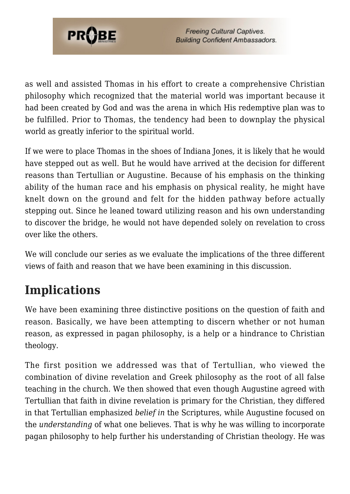

as well and assisted Thomas in his effort to create a comprehensive Christian philosophy which recognized that the material world was important because it had been created by God and was the arena in which His redemptive plan was to be fulfilled. Prior to Thomas, the tendency had been to downplay the physical world as greatly inferior to the spiritual world.

If we were to place Thomas in the shoes of Indiana Jones, it is likely that he would have stepped out as well. But he would have arrived at the decision for different reasons than Tertullian or Augustine. Because of his emphasis on the thinking ability of the human race and his emphasis on physical reality, he might have knelt down on the ground and felt for the hidden pathway before actually stepping out. Since he leaned toward utilizing reason and his own understanding to discover the bridge, he would not have depended solely on revelation to cross over like the others.

We will conclude our series as we evaluate the implications of the three different views of faith and reason that we have been examining in this discussion.

## **Implications**

We have been examining three distinctive positions on the question of faith and reason. Basically, we have been attempting to discern whether or not human reason, as expressed in pagan philosophy, is a help or a hindrance to Christian theology.

The first position we addressed was that of Tertullian, who viewed the combination of divine revelation and Greek philosophy as the root of all false teaching in the church. We then showed that even though Augustine agreed with Tertullian that faith in divine revelation is primary for the Christian, they differed in that Tertullian emphasized *belief in* the Scriptures, while Augustine focused on the *understanding* of what one believes. That is why he was willing to incorporate pagan philosophy to help further his understanding of Christian theology. He was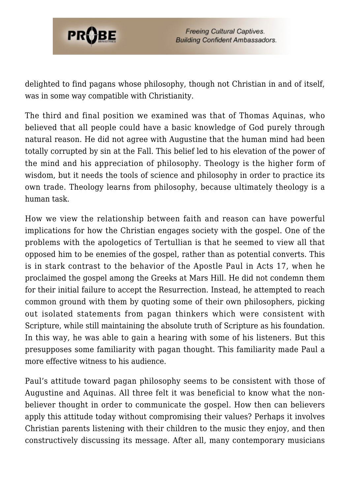

delighted to find pagans whose philosophy, though not Christian in and of itself, was in some way compatible with Christianity.

The third and final position we examined was that of Thomas Aquinas, who believed that all people could have a basic knowledge of God purely through natural reason. He did not agree with Augustine that the human mind had been totally corrupted by sin at the Fall. This belief led to his elevation of the power of the mind and his appreciation of philosophy. Theology is the higher form of wisdom, but it needs the tools of science and philosophy in order to practice its own trade. Theology learns from philosophy, because ultimately theology is a human task.

How we view the relationship between faith and reason can have powerful implications for how the Christian engages society with the gospel. One of the problems with the apologetics of Tertullian is that he seemed to view all that opposed him to be enemies of the gospel, rather than as potential converts. This is in stark contrast to the behavior of the Apostle Paul in Acts 17, when he proclaimed the gospel among the Greeks at Mars Hill. He did not condemn them for their initial failure to accept the Resurrection. Instead, he attempted to reach common ground with them by quoting some of their own philosophers, picking out isolated statements from pagan thinkers which were consistent with Scripture, while still maintaining the absolute truth of Scripture as his foundation. In this way, he was able to gain a hearing with some of his listeners. But this presupposes some familiarity with pagan thought. This familiarity made Paul a more effective witness to his audience.

Paul's attitude toward pagan philosophy seems to be consistent with those of Augustine and Aquinas. All three felt it was beneficial to know what the nonbeliever thought in order to communicate the gospel. How then can believers apply this attitude today without compromising their values? Perhaps it involves Christian parents listening with their children to the music they enjoy, and then constructively discussing its message. After all, many contemporary musicians